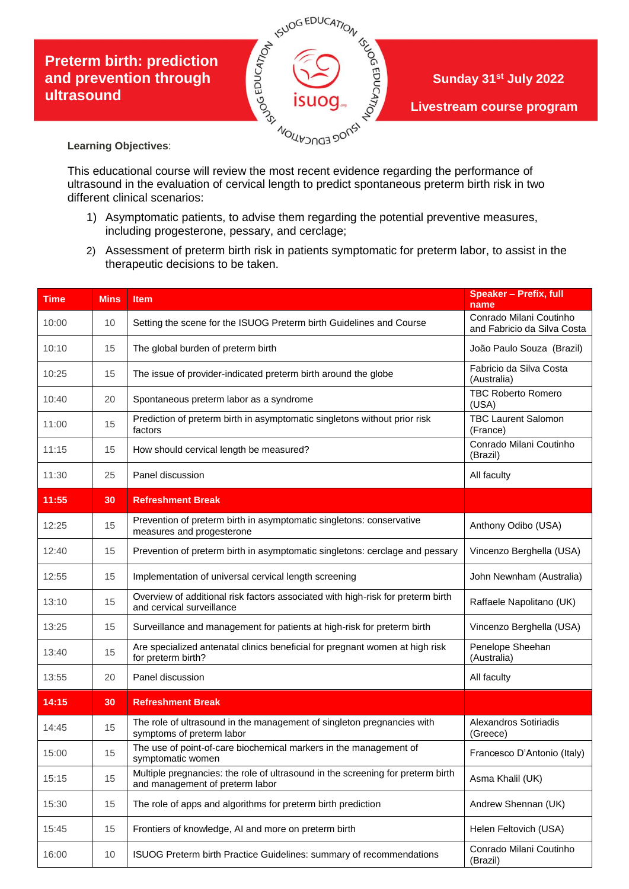## **Preterm birth: prediction ultrasound**



**Learning Objectives**:

This educational course will review the most recent evidence regarding the performance of ultrasound in the evaluation of cervical length to predict spontaneous preterm birth risk in two different clinical scenarios:

- 1) Asymptomatic patients, to advise them regarding the potential preventive measures, including progesterone, pessary, and cerclage;
- 2) Assessment of preterm birth risk in patients symptomatic for preterm labor, to assist in the therapeutic decisions to be taken.

| <b>Time</b> | <b>Mins</b> | Item                                                                                                               | <b>Speaker - Prefix, full</b><br>name                  |
|-------------|-------------|--------------------------------------------------------------------------------------------------------------------|--------------------------------------------------------|
| 10:00       | 10          | Setting the scene for the ISUOG Preterm birth Guidelines and Course                                                | Conrado Milani Coutinho<br>and Fabricio da Silva Costa |
| 10:10       | 15          | The global burden of preterm birth                                                                                 | João Paulo Souza (Brazil)                              |
| 10:25       | 15          | The issue of provider-indicated preterm birth around the globe                                                     | Fabricio da Silva Costa<br>(Australia)                 |
| 10:40       | 20          | Spontaneous preterm labor as a syndrome                                                                            | <b>TBC Roberto Romero</b><br>(USA)                     |
| 11:00       | 15          | Prediction of preterm birth in asymptomatic singletons without prior risk<br>factors                               | <b>TBC Laurent Salomon</b><br>(France)                 |
| 11:15       | 15          | How should cervical length be measured?                                                                            | Conrado Milani Coutinho<br>(Brazil)                    |
| 11:30       | 25          | Panel discussion                                                                                                   | All faculty                                            |
| 11:55       | 30          | <b>Refreshment Break</b>                                                                                           |                                                        |
| 12:25       | 15          | Prevention of preterm birth in asymptomatic singletons: conservative<br>measures and progesterone                  | Anthony Odibo (USA)                                    |
| 12:40       | 15          | Prevention of preterm birth in asymptomatic singletons: cerclage and pessary                                       | Vincenzo Berghella (USA)                               |
| 12:55       | 15          | Implementation of universal cervical length screening                                                              | John Newnham (Australia)                               |
| 13:10       | 15          | Overview of additional risk factors associated with high-risk for preterm birth<br>and cervical surveillance       | Raffaele Napolitano (UK)                               |
| 13:25       | 15          | Surveillance and management for patients at high-risk for preterm birth                                            | Vincenzo Berghella (USA)                               |
| 13:40       | 15          | Are specialized antenatal clinics beneficial for pregnant women at high risk<br>for preterm birth?                 | Penelope Sheehan<br>(Australia)                        |
| 13:55       | 20          | Panel discussion                                                                                                   | All faculty                                            |
| 14:15       | 30          | <b>Refreshment Break</b>                                                                                           |                                                        |
| 14:45       | 15          | The role of ultrasound in the management of singleton pregnancies with<br>symptoms of preterm labor                | Alexandros Sotiriadis<br>(Greece)                      |
| 15:00       | 15          | The use of point-of-care biochemical markers in the management of<br>symptomatic women                             | Francesco D'Antonio (Italy)                            |
| 15:15       | 15          | Multiple pregnancies: the role of ultrasound in the screening for preterm birth<br>and management of preterm labor | Asma Khalil (UK)                                       |
| 15:30       | 15          | The role of apps and algorithms for preterm birth prediction                                                       | Andrew Shennan (UK)                                    |
| 15:45       | 15          | Frontiers of knowledge, AI and more on preterm birth                                                               | Helen Feltovich (USA)                                  |
| 16:00       | 10          | ISUOG Preterm birth Practice Guidelines: summary of recommendations                                                | Conrado Milani Coutinho<br>(Brazil)                    |